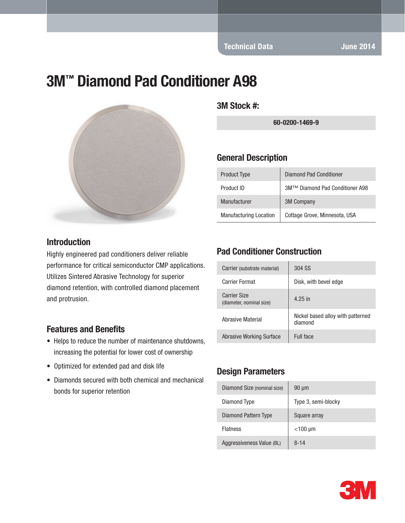Technical Data June 2014

# 3M™ Diamond Pad Conditioner A98



#### **Introduction**

Highly engineered pad conditioners deliver reliable performance for critical semiconductor CMP applications. Utilizes Sintered Abrasive Technology for superior diamond retention, with controlled diamond placement and protrusion.

#### Features and Benefits

- Helps to reduce the number of maintenance shutdowns, increasing the potential for lower cost of ownership
- Optimized for extended pad and disk life
- Diamonds secured with both chemical and mechanical bonds for superior retention

3M Stock #:

60-0200-1469-9

#### General Description

| <b>Product Type</b>           | Diamond Pad Conditioner         |
|-------------------------------|---------------------------------|
| Product ID                    | 3M™ Diamond Pad Conditioner A98 |
| Manufacturer                  | <b>3M Company</b>               |
| <b>Manufacturing Location</b> | Cottage Grove, Minnesota, USA   |

### Pad Conditioner Construction

| Carrier (substrate material)                    | 304 SS                                       |
|-------------------------------------------------|----------------------------------------------|
| Carrier Format                                  | Disk, with bevel edge                        |
| <b>Carrier Size</b><br>(diameter, nominal size) | 4.25 in                                      |
| Abrasive Material                               | Nickel based alloy with patterned<br>diamond |
| Abrasive Working Surface                        | Full face                                    |

#### Design Parameters

| Diamond Size (nominal size) | $90 \mu m$          |
|-----------------------------|---------------------|
| Diamond Type                | Type 3, semi-blocky |
| Diamond Pattern Type        | Square array        |
| <b>Flatness</b>             | $<$ 100 µm          |
| Aggressiveness Value (BL)   | $8 - 14$            |